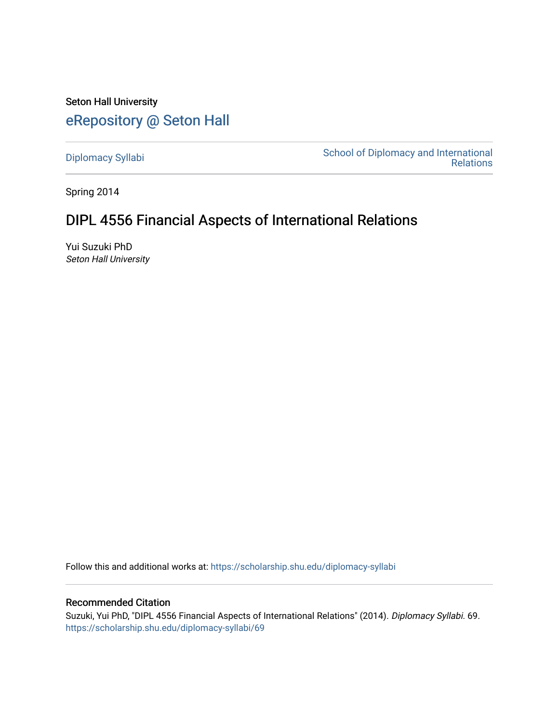Seton Hall University [eRepository @ Seton Hall](https://scholarship.shu.edu/)

[Diplomacy Syllabi](https://scholarship.shu.edu/diplomacy-syllabi) [School of Diplomacy and International](https://scholarship.shu.edu/diplomacy)  [Relations](https://scholarship.shu.edu/diplomacy) 

Spring 2014

# DIPL 4556 Financial Aspects of International Relations

Yui Suzuki PhD Seton Hall University

Follow this and additional works at: [https://scholarship.shu.edu/diplomacy-syllabi](https://scholarship.shu.edu/diplomacy-syllabi?utm_source=scholarship.shu.edu%2Fdiplomacy-syllabi%2F69&utm_medium=PDF&utm_campaign=PDFCoverPages) 

# Recommended Citation

Suzuki, Yui PhD, "DIPL 4556 Financial Aspects of International Relations" (2014). Diplomacy Syllabi. 69. [https://scholarship.shu.edu/diplomacy-syllabi/69](https://scholarship.shu.edu/diplomacy-syllabi/69?utm_source=scholarship.shu.edu%2Fdiplomacy-syllabi%2F69&utm_medium=PDF&utm_campaign=PDFCoverPages)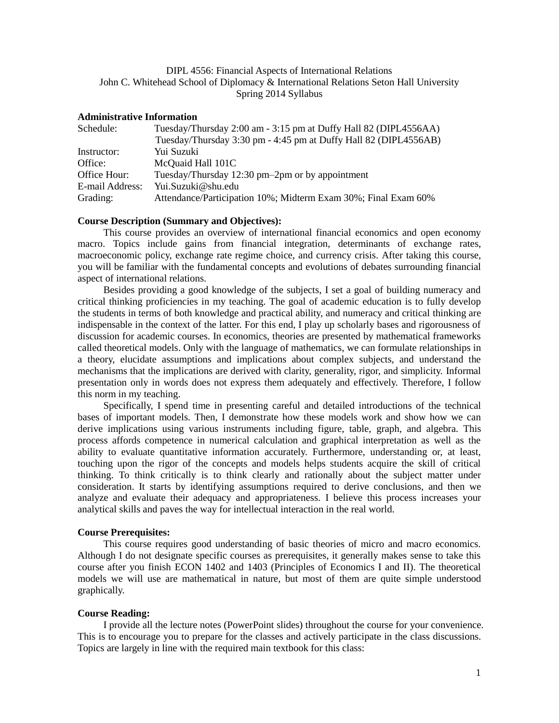# DIPL 4556: Financial Aspects of International Relations John C. Whitehead School of Diplomacy & International Relations Seton Hall University Spring 2014 Syllabus

## **Administrative Information**

| Tuesday/Thursday 2:00 am - 3:15 pm at Duffy Hall 82 (DIPL4556AA)<br>Schedule: |                                                                  |
|-------------------------------------------------------------------------------|------------------------------------------------------------------|
|                                                                               | Tuesday/Thursday 3:30 pm - 4:45 pm at Duffy Hall 82 (DIPL4556AB) |
| Instructor:                                                                   | Yui Suzuki                                                       |
| Office:                                                                       | McQuaid Hall 101C                                                |
| Office Hour:                                                                  | Tuesday/Thursday 12:30 pm-2pm or by appointment                  |
| E-mail Address:                                                               | Yui.Suzuki@shu.edu                                               |
| Grading:                                                                      | Attendance/Participation 10%; Midterm Exam 30%; Final Exam 60%   |

# **Course Description (Summary and Objectives):**

This course provides an overview of international financial economics and open economy macro. Topics include gains from financial integration, determinants of exchange rates, macroeconomic policy, exchange rate regime choice, and currency crisis. After taking this course, you will be familiar with the fundamental concepts and evolutions of debates surrounding financial aspect of international relations.

Besides providing a good knowledge of the subjects, I set a goal of building numeracy and critical thinking proficiencies in my teaching. The goal of academic education is to fully develop the students in terms of both knowledge and practical ability, and numeracy and critical thinking are indispensable in the context of the latter. For this end, I play up scholarly bases and rigorousness of discussion for academic courses. In economics, theories are presented by mathematical frameworks called theoretical models. Only with the language of mathematics, we can formulate relationships in a theory, elucidate assumptions and implications about complex subjects, and understand the mechanisms that the implications are derived with clarity, generality, rigor, and simplicity. Informal presentation only in words does not express them adequately and effectively. Therefore, I follow this norm in my teaching.

Specifically, I spend time in presenting careful and detailed introductions of the technical bases of important models. Then, I demonstrate how these models work and show how we can derive implications using various instruments including figure, table, graph, and algebra. This process affords competence in numerical calculation and graphical interpretation as well as the ability to evaluate quantitative information accurately. Furthermore, understanding or, at least, touching upon the rigor of the concepts and models helps students acquire the skill of critical thinking. To think critically is to think clearly and rationally about the subject matter under consideration. It starts by identifying assumptions required to derive conclusions, and then we analyze and evaluate their adequacy and appropriateness. I believe this process increases your analytical skills and paves the way for intellectual interaction in the real world.

#### **Course Prerequisites:**

This course requires good understanding of basic theories of micro and macro economics. Although I do not designate specific courses as prerequisites, it generally makes sense to take this course after you finish ECON 1402 and 1403 (Principles of Economics I and II). The theoretical models we will use are mathematical in nature, but most of them are quite simple understood graphically.

#### **Course Reading:**

I provide all the lecture notes (PowerPoint slides) throughout the course for your convenience. This is to encourage you to prepare for the classes and actively participate in the class discussions. Topics are largely in line with the required main textbook for this class: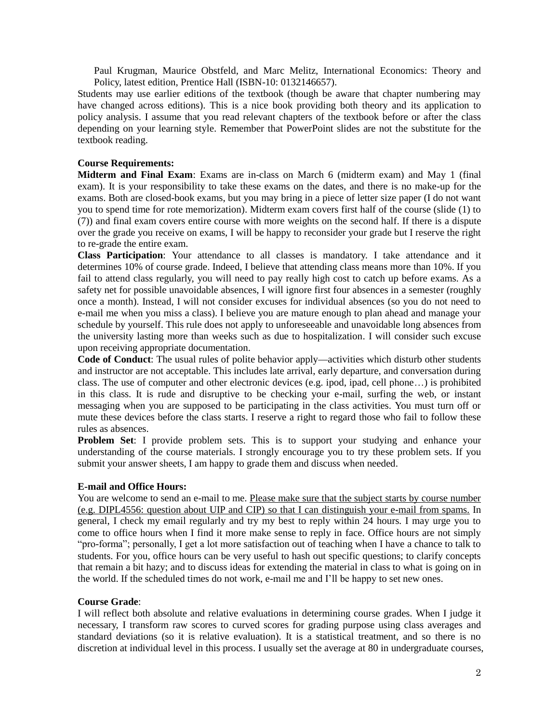Paul Krugman, Maurice Obstfeld, and Marc Melitz, International Economics: Theory and Policy, latest edition, Prentice Hall (ISBN-10: 0132146657).

Students may use earlier editions of the textbook (though be aware that chapter numbering may have changed across editions). This is a nice book providing both theory and its application to policy analysis. I assume that you read relevant chapters of the textbook before or after the class depending on your learning style. Remember that PowerPoint slides are not the substitute for the textbook reading.

# **Course Requirements:**

**Midterm and Final Exam**: Exams are in-class on March 6 (midterm exam) and May 1 (final exam). It is your responsibility to take these exams on the dates, and there is no make-up for the exams. Both are closed-book exams, but you may bring in a piece of letter size paper (I do not want you to spend time for rote memorization). Midterm exam covers first half of the course (slide (1) to (7)) and final exam covers entire course with more weights on the second half. If there is a dispute over the grade you receive on exams, I will be happy to reconsider your grade but I reserve the right to re-grade the entire exam.

**Class Participation**: Your attendance to all classes is mandatory. I take attendance and it determines 10% of course grade. Indeed, I believe that attending class means more than 10%. If you fail to attend class regularly, you will need to pay really high cost to catch up before exams. As a safety net for possible unavoidable absences, I will ignore first four absences in a semester (roughly once a month). Instead, I will not consider excuses for individual absences (so you do not need to e-mail me when you miss a class). I believe you are mature enough to plan ahead and manage your schedule by yourself. This rule does not apply to unforeseeable and unavoidable long absences from the university lasting more than weeks such as due to hospitalization. I will consider such excuse upon receiving appropriate documentation.

**Code of Conduct**: The usual rules of polite behavior apply—activities which disturb other students and instructor are not acceptable. This includes late arrival, early departure, and conversation during class. The use of computer and other electronic devices (e.g. ipod, ipad, cell phone…) is prohibited in this class. It is rude and disruptive to be checking your e-mail, surfing the web, or instant messaging when you are supposed to be participating in the class activities. You must turn off or mute these devices before the class starts. I reserve a right to regard those who fail to follow these rules as absences.

**Problem Set**: I provide problem sets. This is to support your studying and enhance your understanding of the course materials. I strongly encourage you to try these problem sets. If you submit your answer sheets, I am happy to grade them and discuss when needed.

## **E-mail and Office Hours:**

You are welcome to send an e-mail to me. Please make sure that the subject starts by course number (e.g. DIPL4556: question about UIP and CIP) so that I can distinguish your e-mail from spams. In general, I check my email regularly and try my best to reply within 24 hours. I may urge you to come to office hours when I find it more make sense to reply in face. Office hours are not simply "pro-forma"; personally, I get a lot more satisfaction out of teaching when I have a chance to talk to students. For you, office hours can be very useful to hash out specific questions; to clarify concepts that remain a bit hazy; and to discuss ideas for extending the material in class to what is going on in the world. If the scheduled times do not work, e-mail me and I'll be happy to set new ones.

# **Course Grade**:

I will reflect both absolute and relative evaluations in determining course grades. When I judge it necessary, I transform raw scores to curved scores for grading purpose using class averages and standard deviations (so it is relative evaluation). It is a statistical treatment, and so there is no discretion at individual level in this process. I usually set the average at 80 in undergraduate courses,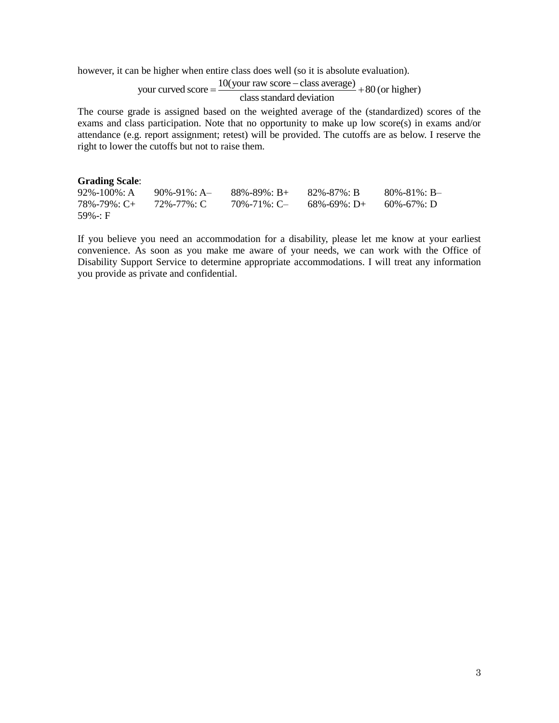however, it can be higher when entire class does well (so it is absolute evaluation).

1 be higher when entire class does well (so it is absolute evaluation).<br>
your curved score =  $\frac{10(your raw score - class average)}{class standard deviation} + 80$  (or higher) ass does well (so it is at<br>our raw score – class ave<br>class standard deviation − ntire class does well (so it is absolute evaluation<br>=  $\frac{10(your raw score - class average)}{class standard deviation} + 80 (or high)$ 

The course grade is assigned based on the weighted average of the (standardized) scores of the exams and class participation. Note that no opportunity to make up low score(s) in exams and/or attendance (e.g. report assignment; retest) will be provided. The cutoffs are as below. I reserve the right to lower the cutoffs but not to raise them.

# **Grading Scale:**<br>92%-100%: A

92%-100%: A 90%-91%: A 88%-89%: B + 82%-87%: B 80%-81%: B - 78%-79%: C 70%-71%: C 68%-69%: D + 60%-67%: D  $68\% - 69\% : D+$ 59%-: F

If you believe you need an accommodation for a disability, please let me know at your earliest convenience. As soon as you make me aware of your needs, we can work with the Office of Disability Support Service to determine appropriate accommodations. I will treat any information you provide as private and confidential.